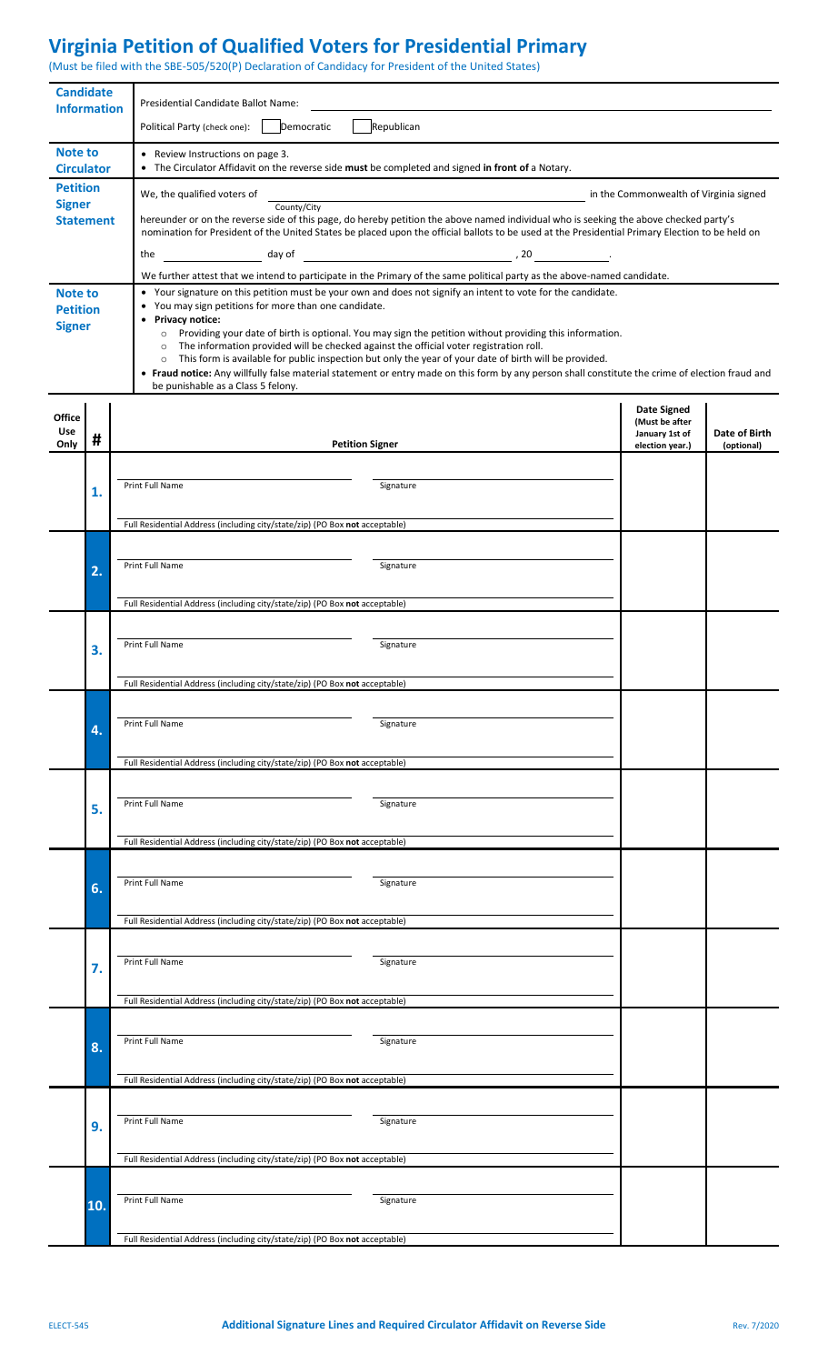## **Virginia Petition of Qualified Voters for Presidential Primary**

(Must be filed with the SBE-505/520(P) Declaration of Candidacy for President of the United States)

| <b>Candidate</b><br><b>Information</b>             |                                                                             | Presidential Candidate Ballot Name:                                                                                                                                                                                                                                   |                                      |                             |  |  |  |
|----------------------------------------------------|-----------------------------------------------------------------------------|-----------------------------------------------------------------------------------------------------------------------------------------------------------------------------------------------------------------------------------------------------------------------|--------------------------------------|-----------------------------|--|--|--|
|                                                    |                                                                             | Democratic<br>Republican<br>Political Party (check one):                                                                                                                                                                                                              |                                      |                             |  |  |  |
| <b>Note to</b><br><b>Circulator</b>                |                                                                             | • Review Instructions on page 3.<br>• The Circulator Affidavit on the reverse side must be completed and signed in front of a Notary.                                                                                                                                 |                                      |                             |  |  |  |
| <b>Petition</b>                                    |                                                                             | We, the qualified voters of<br>in the Commonwealth of Virginia signed                                                                                                                                                                                                 |                                      |                             |  |  |  |
| <b>Signer</b><br><b>Statement</b>                  |                                                                             | County/City<br>hereunder or on the reverse side of this page, do hereby petition the above named individual who is seeking the above checked party's                                                                                                                  |                                      |                             |  |  |  |
|                                                    |                                                                             | nomination for President of the United States be placed upon the official ballots to be used at the Presidential Primary Election to be held on<br>the                                                                                                                |                                      |                             |  |  |  |
|                                                    |                                                                             | We further attest that we intend to participate in the Primary of the same political party as the above-named candidate.                                                                                                                                              |                                      |                             |  |  |  |
| <b>Note to</b><br><b>Petition</b><br><b>Signer</b> |                                                                             | • Your signature on this petition must be your own and does not signify an intent to vote for the candidate.<br>• You may sign petitions for more than one candidate.                                                                                                 |                                      |                             |  |  |  |
|                                                    |                                                                             | • Privacy notice:<br>Providing your date of birth is optional. You may sign the petition without providing this information.<br>$\circ$<br>The information provided will be checked against the official voter registration roll.<br>$\circ$                          |                                      |                             |  |  |  |
|                                                    |                                                                             | This form is available for public inspection but only the year of your date of birth will be provided.<br>$\circ$<br>• Fraud notice: Any willfully false material statement or entry made on this form by any person shall constitute the crime of election fraud and |                                      |                             |  |  |  |
|                                                    |                                                                             | be punishable as a Class 5 felony.                                                                                                                                                                                                                                    |                                      |                             |  |  |  |
| <b>Office</b>                                      |                                                                             |                                                                                                                                                                                                                                                                       | <b>Date Signed</b><br>(Must be after |                             |  |  |  |
| Use<br>Only                                        | #                                                                           | <b>Petition Signer</b>                                                                                                                                                                                                                                                | January 1st of<br>election year.)    | Date of Birth<br>(optional) |  |  |  |
|                                                    |                                                                             | Print Full Name<br>Signature                                                                                                                                                                                                                                          |                                      |                             |  |  |  |
|                                                    | 1.                                                                          |                                                                                                                                                                                                                                                                       |                                      |                             |  |  |  |
|                                                    |                                                                             | Full Residential Address (including city/state/zip) (PO Box not acceptable)                                                                                                                                                                                           |                                      |                             |  |  |  |
|                                                    | 2.                                                                          | Print Full Name<br>Signature                                                                                                                                                                                                                                          |                                      |                             |  |  |  |
|                                                    |                                                                             |                                                                                                                                                                                                                                                                       |                                      |                             |  |  |  |
|                                                    |                                                                             | Full Residential Address (including city/state/zip) (PO Box not acceptable)                                                                                                                                                                                           |                                      |                             |  |  |  |
|                                                    | 3.                                                                          | Print Full Name<br>Signature                                                                                                                                                                                                                                          |                                      |                             |  |  |  |
|                                                    |                                                                             | Full Residential Address (including city/state/zip) (PO Box not acceptable)                                                                                                                                                                                           |                                      |                             |  |  |  |
|                                                    |                                                                             |                                                                                                                                                                                                                                                                       |                                      |                             |  |  |  |
|                                                    | 4.                                                                          | <b>Print Full Name</b><br>Signature                                                                                                                                                                                                                                   |                                      |                             |  |  |  |
|                                                    |                                                                             | Full Residential Address (including city/state/zip) (PO Box not acceptable)                                                                                                                                                                                           |                                      |                             |  |  |  |
|                                                    |                                                                             |                                                                                                                                                                                                                                                                       |                                      |                             |  |  |  |
|                                                    | 5.                                                                          | Print Full Name<br>Signature                                                                                                                                                                                                                                          |                                      |                             |  |  |  |
|                                                    | Full Residential Address (including city/state/zip) (PO Box not acceptable) |                                                                                                                                                                                                                                                                       |                                      |                             |  |  |  |
|                                                    |                                                                             | Print Full Name<br>Signature                                                                                                                                                                                                                                          |                                      |                             |  |  |  |
|                                                    | 6.                                                                          |                                                                                                                                                                                                                                                                       |                                      |                             |  |  |  |
|                                                    |                                                                             | Full Residential Address (including city/state/zip) (PO Box not acceptable)                                                                                                                                                                                           |                                      |                             |  |  |  |
|                                                    | 7.                                                                          | Print Full Name<br>Signature                                                                                                                                                                                                                                          |                                      |                             |  |  |  |
|                                                    |                                                                             | Full Residential Address (including city/state/zip) (PO Box not acceptable)                                                                                                                                                                                           |                                      |                             |  |  |  |
|                                                    |                                                                             |                                                                                                                                                                                                                                                                       |                                      |                             |  |  |  |
|                                                    | 8.                                                                          | Print Full Name<br>Signature                                                                                                                                                                                                                                          |                                      |                             |  |  |  |
|                                                    |                                                                             | Full Residential Address (including city/state/zip) (PO Box not acceptable)                                                                                                                                                                                           |                                      |                             |  |  |  |
|                                                    | 9.                                                                          | Print Full Name<br>Signature                                                                                                                                                                                                                                          |                                      |                             |  |  |  |
|                                                    |                                                                             |                                                                                                                                                                                                                                                                       |                                      |                             |  |  |  |
|                                                    |                                                                             | Full Residential Address (including city/state/zip) (PO Box not acceptable)                                                                                                                                                                                           |                                      |                             |  |  |  |
|                                                    | 10.                                                                         | Print Full Name<br>Signature                                                                                                                                                                                                                                          |                                      |                             |  |  |  |
|                                                    |                                                                             |                                                                                                                                                                                                                                                                       |                                      |                             |  |  |  |
|                                                    |                                                                             | Full Residential Address (including city/state/zip) (PO Box not acceptable)                                                                                                                                                                                           |                                      |                             |  |  |  |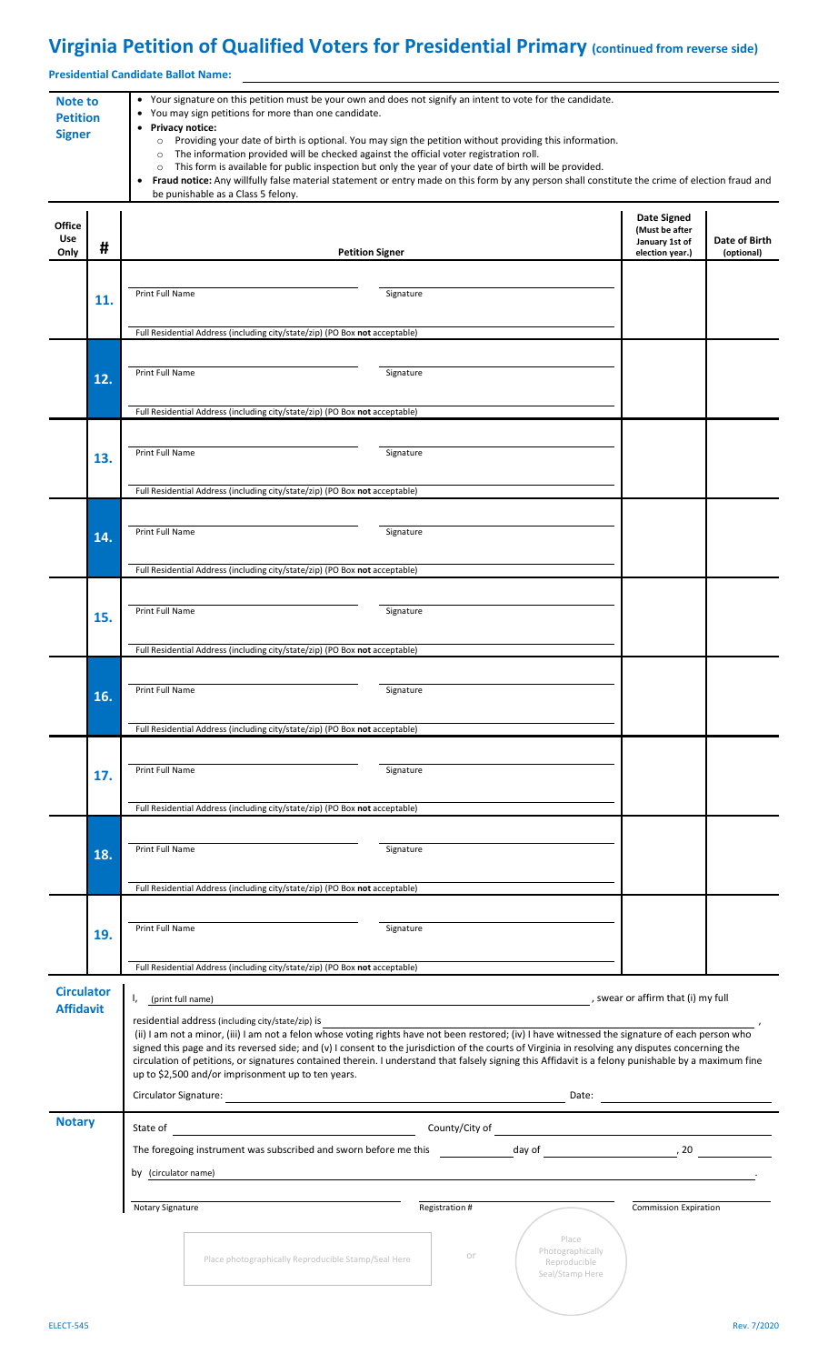## **Virginia Petition of Qualified Voters for Presidential Primary (continued from reverse side)**

**Presidential Candidate Ballot Name:**

| <b>Note to</b><br><b>Petition</b><br><b>Signer</b> |     | • Your signature on this petition must be your own and does not signify an intent to vote for the candidate.<br>You may sign petitions for more than one candidate.<br>$\bullet$<br>• Privacy notice:<br>Providing your date of birth is optional. You may sign the petition without providing this information.<br>$\circ$<br>The information provided will be checked against the official voter registration roll.<br>$\circ$<br>This form is available for public inspection but only the year of your date of birth will be provided.<br>$\circ$<br>Fraud notice: Any willfully false material statement or entry made on this form by any person shall constitute the crime of election fraud and<br>$\bullet$<br>be punishable as a Class 5 felony. |                                                                    |                                                                    |                             |  |  |
|----------------------------------------------------|-----|------------------------------------------------------------------------------------------------------------------------------------------------------------------------------------------------------------------------------------------------------------------------------------------------------------------------------------------------------------------------------------------------------------------------------------------------------------------------------------------------------------------------------------------------------------------------------------------------------------------------------------------------------------------------------------------------------------------------------------------------------------|--------------------------------------------------------------------|--------------------------------------------------------------------|-----------------------------|--|--|
| <b>Office</b><br><b>Use</b><br>Only                | #   | <b>Petition Signer</b>                                                                                                                                                                                                                                                                                                                                                                                                                                                                                                                                                                                                                                                                                                                                     |                                                                    | Date Signed<br>(Must be after<br>January 1st of<br>election year.) | Date of Birth<br>(optional) |  |  |
|                                                    |     |                                                                                                                                                                                                                                                                                                                                                                                                                                                                                                                                                                                                                                                                                                                                                            |                                                                    |                                                                    |                             |  |  |
|                                                    | 11. | Print Full Name<br>Signature                                                                                                                                                                                                                                                                                                                                                                                                                                                                                                                                                                                                                                                                                                                               |                                                                    |                                                                    |                             |  |  |
|                                                    |     | Full Residential Address (including city/state/zip) (PO Box not acceptable)                                                                                                                                                                                                                                                                                                                                                                                                                                                                                                                                                                                                                                                                                |                                                                    |                                                                    |                             |  |  |
|                                                    |     |                                                                                                                                                                                                                                                                                                                                                                                                                                                                                                                                                                                                                                                                                                                                                            |                                                                    |                                                                    |                             |  |  |
|                                                    | 12. | Print Full Name<br>Signature                                                                                                                                                                                                                                                                                                                                                                                                                                                                                                                                                                                                                                                                                                                               |                                                                    |                                                                    |                             |  |  |
|                                                    |     | Full Residential Address (including city/state/zip) (PO Box not acceptable)                                                                                                                                                                                                                                                                                                                                                                                                                                                                                                                                                                                                                                                                                |                                                                    |                                                                    |                             |  |  |
|                                                    |     |                                                                                                                                                                                                                                                                                                                                                                                                                                                                                                                                                                                                                                                                                                                                                            |                                                                    |                                                                    |                             |  |  |
|                                                    | 13. | Print Full Name<br>Signature                                                                                                                                                                                                                                                                                                                                                                                                                                                                                                                                                                                                                                                                                                                               |                                                                    |                                                                    |                             |  |  |
|                                                    |     | Full Residential Address (including city/state/zip) (PO Box not acceptable)                                                                                                                                                                                                                                                                                                                                                                                                                                                                                                                                                                                                                                                                                |                                                                    |                                                                    |                             |  |  |
|                                                    |     |                                                                                                                                                                                                                                                                                                                                                                                                                                                                                                                                                                                                                                                                                                                                                            |                                                                    |                                                                    |                             |  |  |
|                                                    | 14. | Print Full Name<br>Signature                                                                                                                                                                                                                                                                                                                                                                                                                                                                                                                                                                                                                                                                                                                               |                                                                    |                                                                    |                             |  |  |
|                                                    |     | Full Residential Address (including city/state/zip) (PO Box not acceptable)                                                                                                                                                                                                                                                                                                                                                                                                                                                                                                                                                                                                                                                                                |                                                                    |                                                                    |                             |  |  |
|                                                    |     |                                                                                                                                                                                                                                                                                                                                                                                                                                                                                                                                                                                                                                                                                                                                                            |                                                                    |                                                                    |                             |  |  |
|                                                    | 15. | Print Full Name<br>Signature                                                                                                                                                                                                                                                                                                                                                                                                                                                                                                                                                                                                                                                                                                                               |                                                                    |                                                                    |                             |  |  |
|                                                    |     | Full Residential Address (including city/state/zip) (PO Box not acceptable)                                                                                                                                                                                                                                                                                                                                                                                                                                                                                                                                                                                                                                                                                |                                                                    |                                                                    |                             |  |  |
|                                                    |     |                                                                                                                                                                                                                                                                                                                                                                                                                                                                                                                                                                                                                                                                                                                                                            |                                                                    |                                                                    |                             |  |  |
|                                                    | 16. | Print Full Name<br>Signature                                                                                                                                                                                                                                                                                                                                                                                                                                                                                                                                                                                                                                                                                                                               |                                                                    |                                                                    |                             |  |  |
|                                                    |     | Full Residential Address (including city/state/zip) (PO Box not acceptable)                                                                                                                                                                                                                                                                                                                                                                                                                                                                                                                                                                                                                                                                                |                                                                    |                                                                    |                             |  |  |
|                                                    |     |                                                                                                                                                                                                                                                                                                                                                                                                                                                                                                                                                                                                                                                                                                                                                            |                                                                    |                                                                    |                             |  |  |
|                                                    | 17. | Print Full Name<br>Signature                                                                                                                                                                                                                                                                                                                                                                                                                                                                                                                                                                                                                                                                                                                               |                                                                    |                                                                    |                             |  |  |
|                                                    |     | Full Residential Address (including city/state/zip) (PO Box not acceptable)                                                                                                                                                                                                                                                                                                                                                                                                                                                                                                                                                                                                                                                                                |                                                                    |                                                                    |                             |  |  |
|                                                    |     |                                                                                                                                                                                                                                                                                                                                                                                                                                                                                                                                                                                                                                                                                                                                                            |                                                                    |                                                                    |                             |  |  |
|                                                    | 18. | Print Full Name<br>Signature                                                                                                                                                                                                                                                                                                                                                                                                                                                                                                                                                                                                                                                                                                                               |                                                                    |                                                                    |                             |  |  |
|                                                    |     | Full Residential Address (including city/state/zip) (PO Box not acceptable)                                                                                                                                                                                                                                                                                                                                                                                                                                                                                                                                                                                                                                                                                |                                                                    |                                                                    |                             |  |  |
|                                                    |     |                                                                                                                                                                                                                                                                                                                                                                                                                                                                                                                                                                                                                                                                                                                                                            |                                                                    |                                                                    |                             |  |  |
|                                                    | 19. | Print Full Name<br>Signature                                                                                                                                                                                                                                                                                                                                                                                                                                                                                                                                                                                                                                                                                                                               |                                                                    |                                                                    |                             |  |  |
|                                                    |     | Full Residential Address (including city/state/zip) (PO Box not acceptable)                                                                                                                                                                                                                                                                                                                                                                                                                                                                                                                                                                                                                                                                                |                                                                    |                                                                    |                             |  |  |
| <b>Circulator</b>                                  |     | $\sim$ swear or affirm that (i) my full<br>(print full name)                                                                                                                                                                                                                                                                                                                                                                                                                                                                                                                                                                                                                                                                                               |                                                                    |                                                                    |                             |  |  |
| <b>Affidavit</b>                                   |     | residential address (including city/state/zip) is                                                                                                                                                                                                                                                                                                                                                                                                                                                                                                                                                                                                                                                                                                          |                                                                    |                                                                    |                             |  |  |
|                                                    |     | (ii) I am not a minor, (iii) I am not a felon whose voting rights have not been restored; (iv) I have witnessed the signature of each person who<br>signed this page and its reversed side; and (v) I consent to the jurisdiction of the courts of Virginia in resolving any disputes concerning the                                                                                                                                                                                                                                                                                                                                                                                                                                                       |                                                                    |                                                                    |                             |  |  |
|                                                    |     | circulation of petitions, or signatures contained therein. I understand that falsely signing this Affidavit is a felony punishable by a maximum fine<br>up to \$2,500 and/or imprisonment up to ten years.                                                                                                                                                                                                                                                                                                                                                                                                                                                                                                                                                 |                                                                    |                                                                    |                             |  |  |
|                                                    |     |                                                                                                                                                                                                                                                                                                                                                                                                                                                                                                                                                                                                                                                                                                                                                            |                                                                    |                                                                    |                             |  |  |
| <b>Notary</b>                                      |     | County/City of County County and County and County and County and County and County and County and County and County and County and County and County and County and County and County and County and County and County and Co<br>State of                                                                                                                                                                                                                                                                                                                                                                                                                                                                                                                 |                                                                    |                                                                    |                             |  |  |
|                                                    |     | The foregoing instrument was subscribed and sworn before me this day of day of a case of the context of the context of the context of the context of the context of the context of the context of the context of the context o                                                                                                                                                                                                                                                                                                                                                                                                                                                                                                                             |                                                                    |                                                                    |                             |  |  |
|                                                    |     | by (circulator name) <u>experience</u> and the contract of the contract of the contract of the contract of the contract of the contract of the contract of the contract of the contract of the contract of the contract of the cont                                                                                                                                                                                                                                                                                                                                                                                                                                                                                                                        |                                                                    |                                                                    |                             |  |  |
|                                                    |     | Notary Signature                                                                                                                                                                                                                                                                                                                                                                                                                                                                                                                                                                                                                                                                                                                                           | Registration #                                                     | <b>Commission Expiration</b>                                       |                             |  |  |
|                                                    |     |                                                                                                                                                                                                                                                                                                                                                                                                                                                                                                                                                                                                                                                                                                                                                            |                                                                    |                                                                    |                             |  |  |
|                                                    |     | Place photographically Reproducible Stamp/Seal Here                                                                                                                                                                                                                                                                                                                                                                                                                                                                                                                                                                                                                                                                                                        | Place<br>Photographically<br>or<br>Reproducible<br>Seal/Stamp Here |                                                                    |                             |  |  |